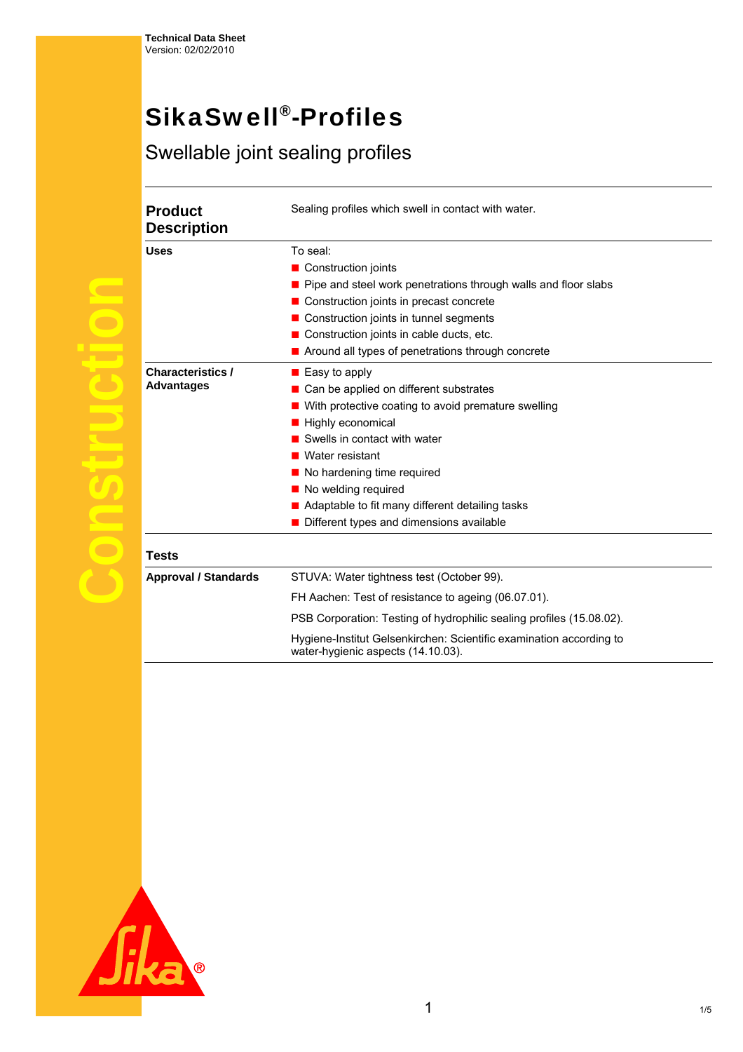## SikaSwell®-Profiles

## Swellable joint sealing profiles

| <b>Product</b>                                | Sealing profiles which swell in contact with water.                                                       |  |  |
|-----------------------------------------------|-----------------------------------------------------------------------------------------------------------|--|--|
| <b>Description</b>                            |                                                                                                           |  |  |
| <b>Uses</b>                                   | To seal:                                                                                                  |  |  |
|                                               | ■ Construction joints                                                                                     |  |  |
|                                               | Pipe and steel work penetrations through walls and floor slabs                                            |  |  |
|                                               | Construction joints in precast concrete                                                                   |  |  |
|                                               | ■ Construction joints in tunnel segments                                                                  |  |  |
|                                               | ■ Construction joints in cable ducts, etc.                                                                |  |  |
|                                               | Around all types of penetrations through concrete                                                         |  |  |
| <b>Characteristics /</b><br><b>Advantages</b> | $\blacksquare$ Easy to apply                                                                              |  |  |
|                                               | Can be applied on different substrates                                                                    |  |  |
|                                               | With protective coating to avoid premature swelling                                                       |  |  |
|                                               | Highly economical                                                                                         |  |  |
|                                               | Swells in contact with water                                                                              |  |  |
|                                               | ■ Water resistant                                                                                         |  |  |
|                                               | ■ No hardening time required                                                                              |  |  |
|                                               | No welding required                                                                                       |  |  |
|                                               | Adaptable to fit many different detailing tasks                                                           |  |  |
|                                               | Different types and dimensions available                                                                  |  |  |
| <b>Tests</b>                                  |                                                                                                           |  |  |
| <b>Approval / Standards</b>                   | STUVA: Water tightness test (October 99).                                                                 |  |  |
|                                               | FH Aachen: Test of resistance to ageing (06.07.01).                                                       |  |  |
|                                               | PSB Corporation: Testing of hydrophilic sealing profiles (15.08.02).                                      |  |  |
|                                               | Hygiene-Institut Gelsenkirchen: Scientific examination according to<br>water-hygienic aspects (14.10.03). |  |  |

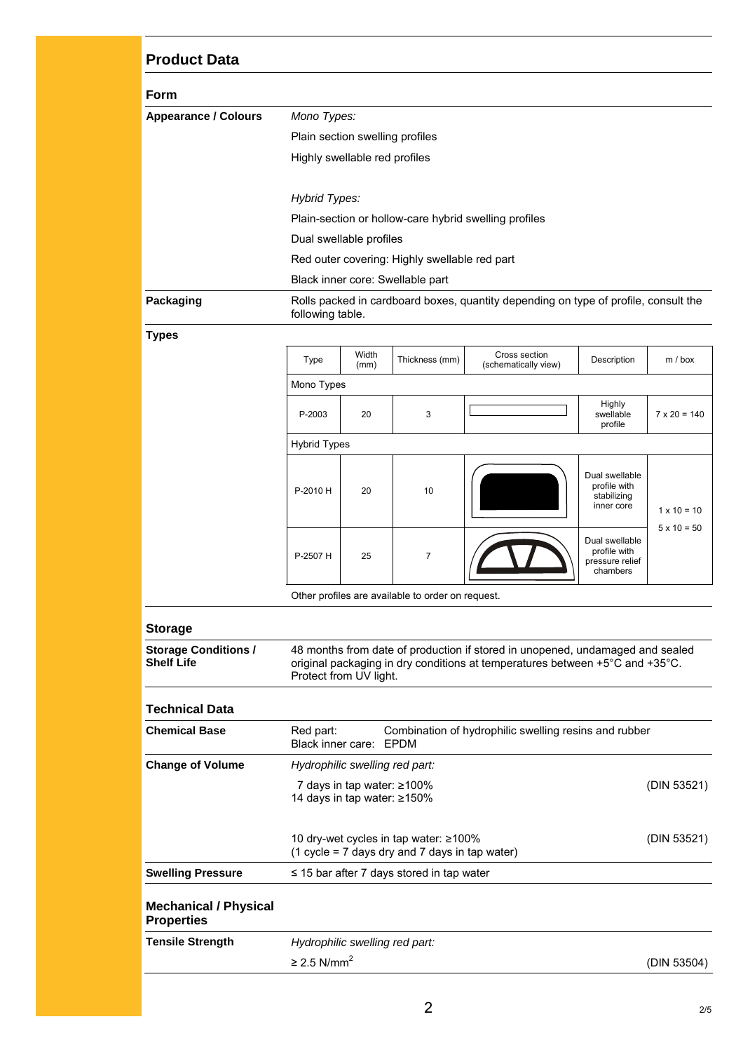## **Product Data**

| <b>Form</b>                 |                                                                                                         |  |  |
|-----------------------------|---------------------------------------------------------------------------------------------------------|--|--|
| <b>Appearance / Colours</b> | Mono Types:                                                                                             |  |  |
|                             | Plain section swelling profiles                                                                         |  |  |
|                             | Highly swellable red profiles                                                                           |  |  |
|                             | Hybrid Types:                                                                                           |  |  |
|                             | Plain-section or hollow-care hybrid swelling profiles                                                   |  |  |
|                             | Dual swellable profiles                                                                                 |  |  |
|                             | Red outer covering: Highly swellable red part                                                           |  |  |
|                             | Black inner core: Swellable part                                                                        |  |  |
| Packaging                   | Rolls packed in cardboard boxes, quantity depending on type of profile, consult the<br>following table. |  |  |
|                             |                                                                                                         |  |  |

**Types** 

| Type                                              | Width<br>(mm) | Thickness (mm) | Cross section<br>(schematically view) | Description                                                   | m / box             |  |
|---------------------------------------------------|---------------|----------------|---------------------------------------|---------------------------------------------------------------|---------------------|--|
| Mono Types                                        |               |                |                                       |                                                               |                     |  |
| P-2003                                            | 20            | 3              |                                       | Highly<br>swellable<br>profile                                | $7 \times 20 = 140$ |  |
| <b>Hybrid Types</b>                               |               |                |                                       |                                                               |                     |  |
| P-2010 H                                          | 20            | 10             |                                       | Dual swellable<br>profile with<br>stabilizing<br>inner core   | $1 \times 10 = 10$  |  |
| P-2507 H                                          | 25            | $\overline{7}$ |                                       | Dual swellable<br>profile with<br>pressure relief<br>chambers | $5 \times 10 = 50$  |  |
| Other profiles are available to order on request. |               |                |                                       |                                                               |                     |  |

## **Storage**

| <b>Storage Conditions /</b><br><b>Shelf Life</b>  | 48 months from date of production if stored in unopened, undamaged and sealed<br>original packaging in dry conditions at temperatures between $+5^{\circ}$ C and $+35^{\circ}$ C.<br>Protect from UV light. |                                                                      |             |
|---------------------------------------------------|-------------------------------------------------------------------------------------------------------------------------------------------------------------------------------------------------------------|----------------------------------------------------------------------|-------------|
| Technical Data                                    |                                                                                                                                                                                                             |                                                                      |             |
| <b>Chemical Base</b>                              | Red part:<br>Black inner care:                                                                                                                                                                              | Combination of hydrophilic swelling resins and rubber<br><b>FPDM</b> |             |
| <b>Change of Volume</b>                           | Hydrophilic swelling red part:                                                                                                                                                                              |                                                                      |             |
|                                                   | 7 days in tap water: $\geq 100\%$<br>14 days in tap water: ≥150%                                                                                                                                            |                                                                      | (DIN 53521) |
|                                                   | 10 dry-wet cycles in tap water: $\geq 100\%$<br>$(1 \text{ cycle} = 7 \text{ days} \text{ dry}$ and 7 days in tap water)                                                                                    |                                                                      | (DIN 53521) |
| <b>Swelling Pressure</b>                          | $\leq$ 15 bar after 7 days stored in tap water                                                                                                                                                              |                                                                      |             |
| <b>Mechanical / Physical</b><br><b>Properties</b> |                                                                                                                                                                                                             |                                                                      |             |
| <b>Tensile Strength</b>                           | Hydrophilic swelling red part:                                                                                                                                                                              |                                                                      |             |
|                                                   | $\geq$ 2.5 N/mm <sup>2</sup>                                                                                                                                                                                |                                                                      | (DIN 53504) |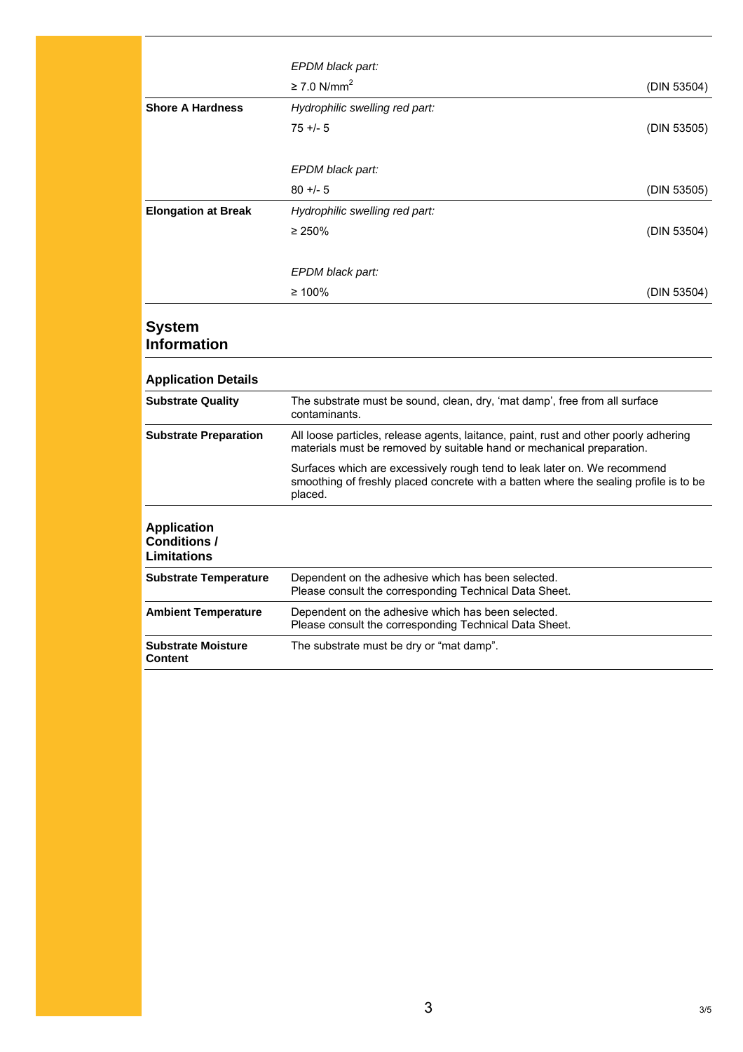|                                                                 | EPDM black part:                                                                                                                                                             |             |
|-----------------------------------------------------------------|------------------------------------------------------------------------------------------------------------------------------------------------------------------------------|-------------|
|                                                                 | $\geq$ 7.0 N/mm <sup>2</sup>                                                                                                                                                 | (DIN 53504) |
| <b>Shore A Hardness</b>                                         | Hydrophilic swelling red part:                                                                                                                                               |             |
|                                                                 | $75 + 5$                                                                                                                                                                     | (DIN 53505) |
|                                                                 |                                                                                                                                                                              |             |
|                                                                 | EPDM black part:                                                                                                                                                             |             |
|                                                                 | $80 + 5$                                                                                                                                                                     | (DIN 53505) |
| <b>Elongation at Break</b>                                      | Hydrophilic swelling red part:                                                                                                                                               |             |
|                                                                 | $\geq 250\%$                                                                                                                                                                 | (DIN 53504) |
|                                                                 |                                                                                                                                                                              |             |
|                                                                 | EPDM black part:                                                                                                                                                             |             |
|                                                                 | $\geq 100\%$                                                                                                                                                                 | (DIN 53504) |
|                                                                 |                                                                                                                                                                              |             |
| <b>System</b>                                                   |                                                                                                                                                                              |             |
| <b>Information</b>                                              |                                                                                                                                                                              |             |
| <b>Application Details</b>                                      |                                                                                                                                                                              |             |
| <b>Substrate Quality</b>                                        | The substrate must be sound, clean, dry, 'mat damp', free from all surface<br>contaminants.                                                                                  |             |
| <b>Substrate Preparation</b>                                    | All loose particles, release agents, laitance, paint, rust and other poorly adhering<br>materials must be removed by suitable hand or mechanical preparation.                |             |
|                                                                 | Surfaces which are excessively rough tend to leak later on. We recommend<br>smoothing of freshly placed concrete with a batten where the sealing profile is to be<br>placed. |             |
| <b>Application</b><br><b>Conditions /</b><br><b>Limitations</b> |                                                                                                                                                                              |             |
| <b>Substrate Temperature</b>                                    | Dependent on the adhesive which has been selected.<br>Please consult the corresponding Technical Data Sheet.                                                                 |             |
| <b>Ambient Temperature</b>                                      | Dependent on the adhesive which has been selected.<br>Please consult the corresponding Technical Data Sheet.                                                                 |             |
| <b>Substrate Moisture</b><br>Content                            | The substrate must be dry or "mat damp".                                                                                                                                     |             |
|                                                                 |                                                                                                                                                                              |             |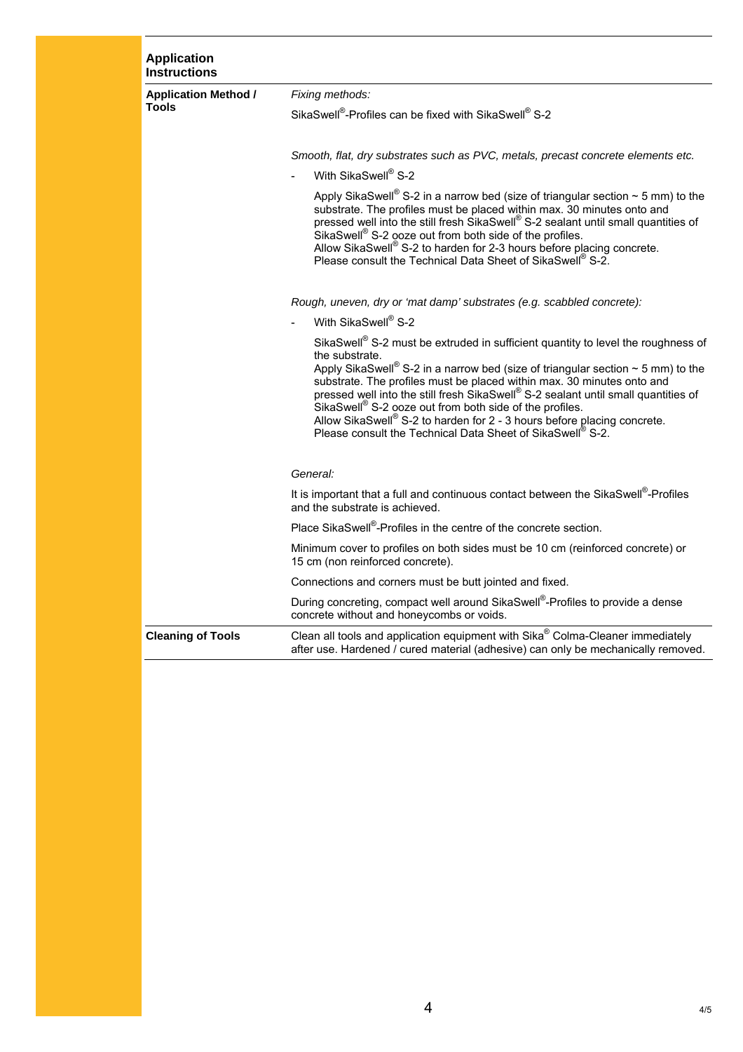| <b>Application</b><br><b>Instructions</b>   |                                                                                                                                                                                                                                                                                                                                                                                                                                                                                                                                                                              |  |  |
|---------------------------------------------|------------------------------------------------------------------------------------------------------------------------------------------------------------------------------------------------------------------------------------------------------------------------------------------------------------------------------------------------------------------------------------------------------------------------------------------------------------------------------------------------------------------------------------------------------------------------------|--|--|
| <b>Application Method /</b><br><b>Tools</b> | Fixing methods:                                                                                                                                                                                                                                                                                                                                                                                                                                                                                                                                                              |  |  |
|                                             | SikaSwell®-Profiles can be fixed with SikaSwell® S-2                                                                                                                                                                                                                                                                                                                                                                                                                                                                                                                         |  |  |
|                                             |                                                                                                                                                                                                                                                                                                                                                                                                                                                                                                                                                                              |  |  |
|                                             | Smooth, flat, dry substrates such as PVC, metals, precast concrete elements etc.                                                                                                                                                                                                                                                                                                                                                                                                                                                                                             |  |  |
|                                             | With SikaSwell® S-2                                                                                                                                                                                                                                                                                                                                                                                                                                                                                                                                                          |  |  |
|                                             | Apply SikaSwell <sup>®</sup> S-2 in a narrow bed (size of triangular section $\sim$ 5 mm) to the<br>substrate. The profiles must be placed within max. 30 minutes onto and<br>pressed well into the still fresh SikaSwell® S-2 sealant until small quantities of<br>SikaSwell <sup>®</sup> S-2 ooze out from both side of the profiles.<br>Allow SikaSwell <sup>®</sup> S-2 to harden for 2-3 hours before placing concrete.<br>Please consult the Technical Data Sheet of SikaSwell® S-2.                                                                                   |  |  |
|                                             | Rough, uneven, dry or 'mat damp' substrates (e.g. scabbled concrete):                                                                                                                                                                                                                                                                                                                                                                                                                                                                                                        |  |  |
|                                             | With SikaSwell® S-2                                                                                                                                                                                                                                                                                                                                                                                                                                                                                                                                                          |  |  |
|                                             | SikaSwell® S-2 must be extruded in sufficient quantity to level the roughness of<br>the substrate.<br>Apply SikaSwell <sup>®</sup> S-2 in a narrow bed (size of triangular section $\sim$ 5 mm) to the<br>substrate. The profiles must be placed within max. 30 minutes onto and<br>pressed well into the still fresh SikaSwell® S-2 sealant until small quantities of<br>SikaSwell® S-2 ooze out from both side of the profiles.<br>Allow SikaSwell® S-2 to harden for $2$ - 3 hours before placing concrete.<br>Please consult the Technical Data Sheet of SikaSwell® S-2. |  |  |
|                                             | General:                                                                                                                                                                                                                                                                                                                                                                                                                                                                                                                                                                     |  |  |
|                                             | It is important that a full and continuous contact between the SikaSwell®-Profiles<br>and the substrate is achieved.                                                                                                                                                                                                                                                                                                                                                                                                                                                         |  |  |
|                                             | Place SikaSwell®-Profiles in the centre of the concrete section.                                                                                                                                                                                                                                                                                                                                                                                                                                                                                                             |  |  |
|                                             | Minimum cover to profiles on both sides must be 10 cm (reinforced concrete) or<br>15 cm (non reinforced concrete).                                                                                                                                                                                                                                                                                                                                                                                                                                                           |  |  |
|                                             | Connections and corners must be butt jointed and fixed.                                                                                                                                                                                                                                                                                                                                                                                                                                                                                                                      |  |  |
|                                             | During concreting, compact well around SikaSwell®-Profiles to provide a dense<br>concrete without and honeycombs or voids.                                                                                                                                                                                                                                                                                                                                                                                                                                                   |  |  |
| <b>Cleaning of Tools</b>                    | Clean all tools and application equipment with Sika® Colma-Cleaner immediately<br>after use. Hardened / cured material (adhesive) can only be mechanically removed.                                                                                                                                                                                                                                                                                                                                                                                                          |  |  |